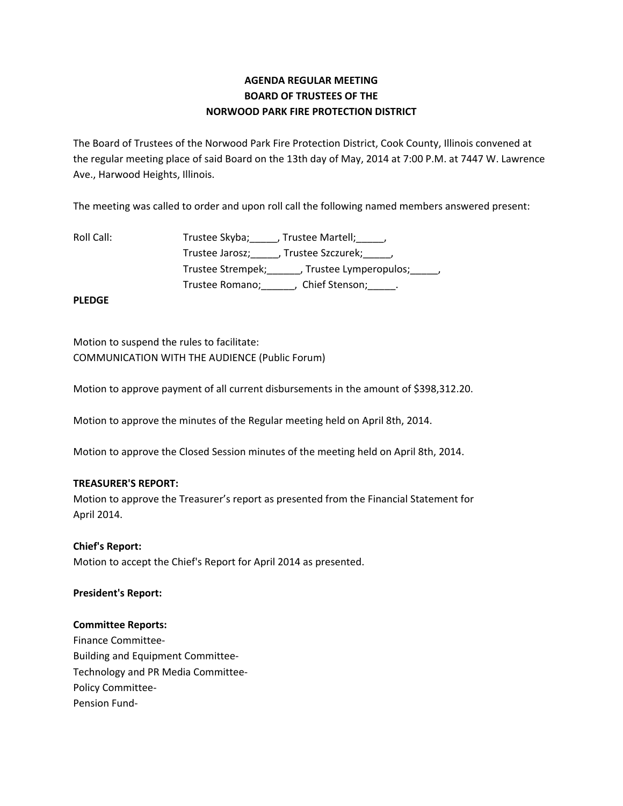# **AGENDA REGULAR MEETING BOARD OF TRUSTEES OF THE NORWOOD PARK FIRE PROTECTION DISTRICT**

The Board of Trustees of the Norwood Park Fire Protection District, Cook County, Illinois convened at the regular meeting place of said Board on the 13th day of May, 2014 at 7:00 P.M. at 7447 W. Lawrence Ave., Harwood Heights, Illinois.

The meeting was called to order and upon roll call the following named members answered present:

| Trustee Skyba; , Trustee Martell; ,                    |
|--------------------------------------------------------|
| Trustee Jarosz; Jrustee Szczurek; J                    |
| Trustee Strempek; ______, Trustee Lymperopulos; _____, |
| Chief Stenson; ______.<br>Trustee Romano;              |
|                                                        |

**PLEDGE**

Motion to suspend the rules to facilitate: COMMUNICATION WITH THE AUDIENCE (Public Forum)

Motion to approve payment of all current disbursements in the amount of \$398,312.20.

Motion to approve the minutes of the Regular meeting held on April 8th, 2014.

Motion to approve the Closed Session minutes of the meeting held on April 8th, 2014.

## **TREASURER'S REPORT:**

Motion to approve the Treasurer's report as presented from the Financial Statement for April 2014.

## **Chief's Report:**

Motion to accept the Chief's Report for April 2014 as presented.

## **President's Report:**

## **Committee Reports:**

Finance Committee‐ Building and Equipment Committee‐ Technology and PR Media Committee‐ Policy Committee‐ Pension Fund‐